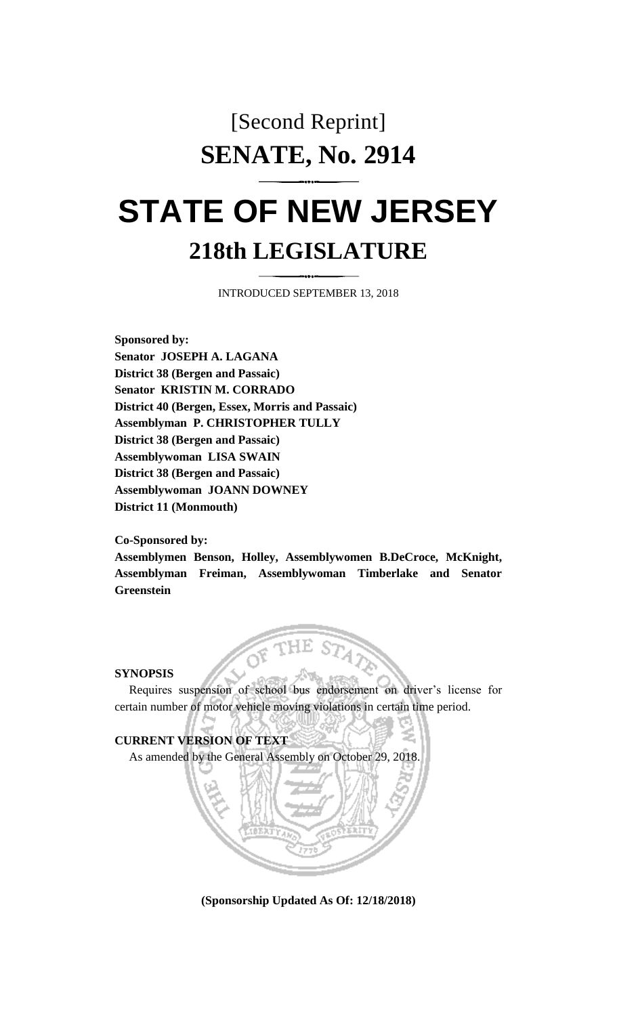## [Second Reprint] **SENATE, No. 2914**

# **STATE OF NEW JERSEY 218th LEGISLATURE**

INTRODUCED SEPTEMBER 13, 2018

**Sponsored by: Senator JOSEPH A. LAGANA District 38 (Bergen and Passaic) Senator KRISTIN M. CORRADO District 40 (Bergen, Essex, Morris and Passaic) Assemblyman P. CHRISTOPHER TULLY District 38 (Bergen and Passaic) Assemblywoman LISA SWAIN District 38 (Bergen and Passaic) Assemblywoman JOANN DOWNEY District 11 (Monmouth)**

#### **Co-Sponsored by:**

**Assemblymen Benson, Holley, Assemblywomen B.DeCroce, McKnight, Assemblyman Freiman, Assemblywoman Timberlake and Senator Greenstein**

#### **SYNOPSIS**

Requires suspension of school bus endorsement on driver's license for certain number of motor vehicle moving violations in certain time period.



**(Sponsorship Updated As Of: 12/18/2018)**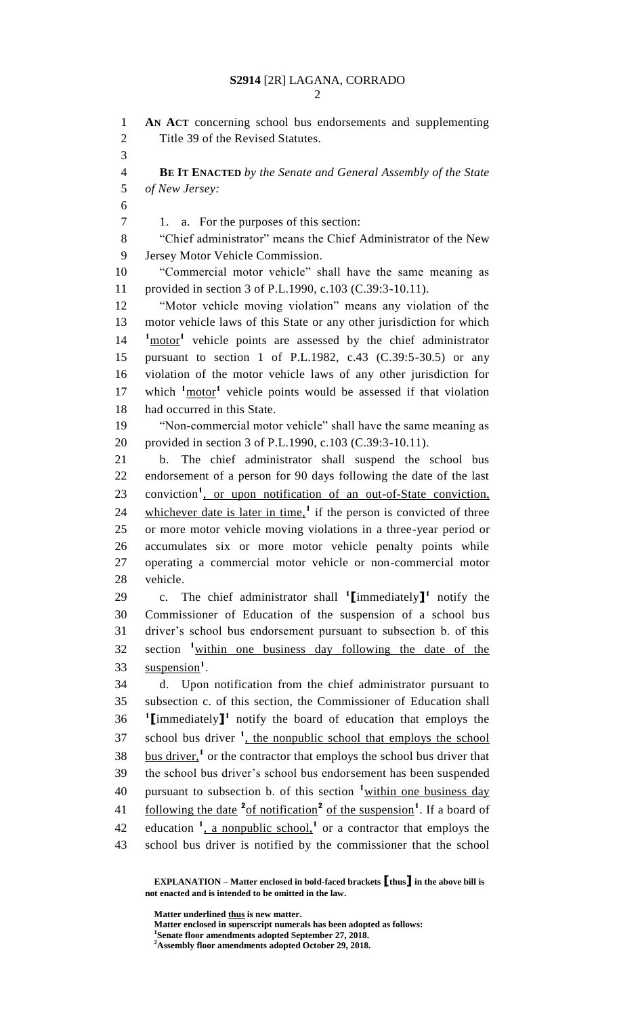**AN ACT** concerning school bus endorsements and supplementing Title 39 of the Revised Statutes. **BE IT ENACTED** *by the Senate and General Assembly of the State of New Jersey:* 1. a. For the purposes of this section: "Chief administrator" means the Chief Administrator of the New Jersey Motor Vehicle Commission. "Commercial motor vehicle" shall have the same meaning as provided in section 3 of P.L.1990, c.103 (C.39:3-10.11). "Motor vehicle moving violation" means any violation of the motor vehicle laws of this State or any other jurisdiction for which 14 <sup>1</sup><u>motor</u><sup>1</sup> vehicle points are assessed by the chief administrator pursuant to section 1 of P.L.1982, c.43 (C.39:5-30.5) or any violation of the motor vehicle laws of any other jurisdiction for 17 which <sup>1</sup>motor<sup>1</sup> vehicle points would be assessed if that violation had occurred in this State. "Non-commercial motor vehicle" shall have the same meaning as provided in section 3 of P.L.1990, c.103 (C.39:3-10.11). b. The chief administrator shall suspend the school bus endorsement of a person for 90 days following the date of the last 23 conviction<sup>1</sup>, or upon notification of an out-of-State conviction, 24 whichever date is later in time,<sup>1</sup> if the person is convicted of three or more motor vehicle moving violations in a three-year period or accumulates six or more motor vehicle penalty points while operating a commercial motor vehicle or non-commercial motor vehicle. 29 c. The chief administrator shall <sup>1</sup>[immediately]<sup>1</sup> notify the Commissioner of Education of the suspension of a school bus driver's school bus endorsement pursuant to subsection b. of this section **<sup>1</sup>** within one business day following the date of the 33 suspension<sup>1</sup>. d. Upon notification from the chief administrator pursuant to subsection c. of this section, the Commissioner of Education shall **[**immediately]<sup>1</sup> notify the board of education that employs the 37 school bus driver <sup>1</sup>, the nonpublic school that employs the school 38 bus driver,<sup>1</sup> or the contractor that employs the school bus driver that the school bus driver's school bus endorsement has been suspended 40 pursuant to subsection b. of this section <sup>1</sup> within one business day 41 following the date <sup>2</sup> of notification<sup>2</sup> of the suspension<sup>1</sup>. If a board of 42 education  $\frac{1}{2}$ , a nonpublic school,  $\frac{1}{2}$  or a contractor that employs the school bus driver is notified by the commissioner that the school

**Matter underlined thus is new matter.**

**Matter enclosed in superscript numerals has been adopted as follows:**

**EXPLANATION – Matter enclosed in bold-faced brackets [thus] in the above bill is not enacted and is intended to be omitted in the law.**

**Senate floor amendments adopted September 27, 2018.**

**Assembly floor amendments adopted October 29, 2018.**